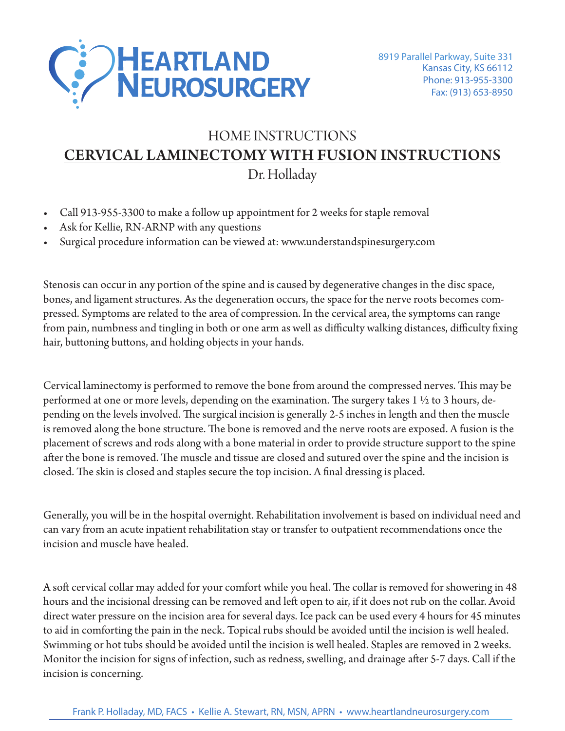

## HOME INSTRUCTIONS **LIUME INSTRUCTIUMS** <u>CERVICAL LAMINECTOMY WITH FUSION INSTRUCTIONS</u> Call **913-955-3300** main number to make a follow up appointment for 2 HOME INSTRUCTIONS Dr. Holladay

- Call 913-955-3300 to make a follow up appointment for 2 weeks for staple removal  $\frac{1}{2}$  055,2200 to make a following engointment for 2 weeks for steple remaye.  $S13$ - $S33$ - $S300$  to make a follow up appointment for 2 weeks for stapic removal.
- Ask for Kellie, RN-ARNP with any questions or muscle relaxants call  $\overline{R}$
- Surgical procedure information can be viewed at: www.understandspinesurgery.com www.understandspinesurgery.com/" www.understandspinesurgery.com/" www.understandspinesurgery.com/" www.understandspinesurgery.com

Stenosis can occur in any portion of the spine and is caused by degenerative changes in the disc space, bones, and ligament structures. As the degeneration occurs, the space for the nerve roots becomes compressed. Symptoms are related to the area of compression. In the cervical area, the symptoms can range<br>Generalism of the disc space, and ligament structures. As and ligament structures in the disc space, and liga from pain, numbness and tingling in both or one arm as well as difficulty walking distances, difficulty fixing<br>bair buttoning buttons, and bolding objects in your bands. hair, buttoning buttons, and holding objects in your hands.  $\mathcal{S}$  are related to the area, the area, the lumbar area, the lumbar area, the lumbar area, the lumbar area, the lumbar area, the lumbar area, the lumbar area, the lumbar area, the lumbar area, the lumbar area, the lum  $\mathbf{S}_{\text{S}}$  in any portion of the spine and is caused by degree optive changes in the degree to the set of process in the open the disc space, bones, and ligament structures. As the degeneration occurs, the space for the nerve roots become Symptoms are related to the area of compression. In the cervical area, the symptoms can n, numbness and tingling in both or one arm as well as difficulty walking distances, diff

Cervical laminectomy is performed to remove the bone from around the compressed nerves. This may be performed at one or more levels, depending on the examination. The surgery takes  $1\,$  ½ to 3 hours, depending on the levels involved. The surgical incision is generally 2-5 inches in length and then the muscle is removed along the bone structure. The bone is removed and the nerve roots are exposed. A fusion is the placement of screws and rods along with a bone material in order to provide structure support to the spine .<br>after the bone is removed. The muscle and tissue are closed and sutured over the spine and the incision is closed. The skin is closed and staples secure the top incision. A final dressing is placed.  $\begin{array}{ccc} \n\mathbf{b} & \mathbf{b} & \mathbf{b} & \mathbf{b} & \mathbf{b} & \mathbf{b} & \mathbf{b} & \mathbf{b} & \mathbf{b} & \mathbf{b} & \mathbf{b} & \mathbf{b} & \mathbf{b} & \mathbf{b} & \mathbf{b} & \mathbf{b} & \mathbf{b} & \mathbf{b} & \mathbf{b} & \mathbf{b} & \mathbf{b} & \mathbf{b} & \mathbf{b} & \mathbf{$ bone is removed. The muscle and tissue are closed and sutured over the spine and the incis  $t$  in surface and staples secure the top incision. A initial dressing is placed.

Generally, you will be in the hospital overnight. Rehabilitation involvement is based on individual need and  $\epsilon$ can vary from an acute inpatient rehabilitation stay or transfer to outpatient recommendations once the<br>incision and muscle have healed incision and muscle have healed. the levels involved. The surgical incision is generally 2-4 inches in length v. vou will be in the hospital overnight. Rehabilitation involvement is based on individua from an acute inpatient rehabilitation stay or transfer to outpatient recommendation

A soft cervical collar may added for your comfort while you heal. The collar is removed for showering in 48 hours and the incisional dressing can be removed and left open to air, if it does not rub on the collar. Avoid direct water pressure on the incision area for several days. Ice pack can be used every 4 hours for 45 minutes to aid in comforting the pain in the neck. Topical rubs should be avoided until the incision is well healed. Swimming or hot tubs should be avoided until the incision is well healed. Staples are removed in 2 weeks. Monitor the incision for signs of infection, such as redness, swelling, and drainage after 5-7 days. Call if the incision is concerning.  $\alpha$  such any need for place  $\alpha$  place  $\alpha$  is an acute reflection program if  $\alpha$ ter pressure on the incision area for several days. Ice pack can be used every 4 hours for 4. comoting the pain in the neck. Topical thos should be avoided thin the meision i as a medical case on the matrix when the medical is the medical complete medical<br>the incision for signs of infection, such as redness, swelling, and drainage after